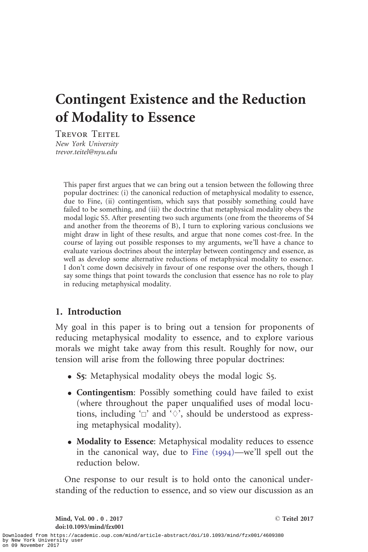# Contingent Existence and the Reduction of Modality to Essence

Trevor Teitel New York University trevor.teitel@nyu.edu

> This paper first argues that we can bring out a tension between the following three popular doctrines: (i) the canonical reduction of metaphysical modality to essence, due to Fine, (ii) contingentism, which says that possibly something could have failed to be something, and (iii) the doctrine that metaphysical modality obeys the modal logic S5. After presenting two such arguments (one from the theorems of S4 and another from the theorems of B), I turn to exploring various conclusions we might draw in light of these results, and argue that none comes cost-free. In the course of laying out possible responses to my arguments, we'll have a chance to evaluate various doctrines about the interplay between contingency and essence, as well as develop some alternative reductions of metaphysical modality to essence. I don't come down decisively in favour of one response over the others, though I say some things that point towards the conclusion that essence has no role to play in reducing metaphysical modality.

# 1. Introduction

My goal in this paper is to bring out a tension for proponents of reducing metaphysical modality to essence, and to explore various morals we might take away from this result. Roughly for now, our tension will arise from the following three popular doctrines:

- S5: Metaphysical modality obeys the modal logic S5.
- . Contingentism: Possibly something could have failed to exist (where throughout the paper unqualified uses of modal locutions, including ' $\Box$ ' and ' $\Diamond$ ', should be understood as expressing metaphysical modality).
- . Modality to Essence: Metaphysical modality reduces to essence in the canonical way, due to [Fine \(](#page-28-0)1994)—we'll spell out the reduction below.

One response to our result is to hold onto the canonical understanding of the reduction to essence, and so view our discussion as an

Mind, Vol. 00 . 0 . 2017 doi:10.1093/mind/fzx001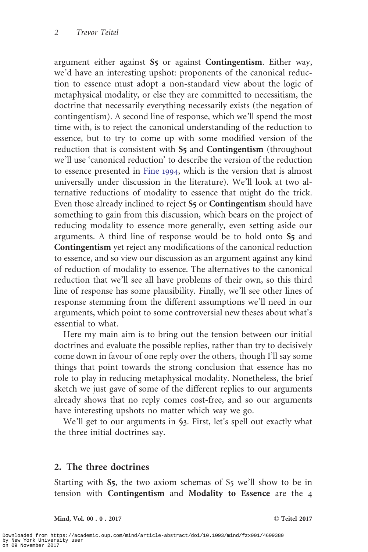argument either against S5 or against Contingentism. Either way, we'd have an interesting upshot: proponents of the canonical reduction to essence must adopt a non-standard view about the logic of metaphysical modality, or else they are committed to necessitism, the doctrine that necessarily everything necessarily exists (the negation of contingentism). A second line of response, which we'll spend the most time with, is to reject the canonical understanding of the reduction to essence, but to try to come up with some modified version of the reduction that is consistent with S<sub>5</sub> and Contingentism (throughout we'll use 'canonical reduction' to describe the version of the reduction to essence presented in [Fine](#page-28-0) 1994, which is the version that is almost universally under discussion in the literature). We'll look at two alternative reductions of modality to essence that might do the trick. Even those already inclined to reject S5 or Contingentism should have something to gain from this discussion, which bears on the project of reducing modality to essence more generally, even setting aside our arguments. A third line of response would be to hold onto S5 and Contingentism yet reject any modifications of the canonical reduction to essence, and so view our discussion as an argument against any kind of reduction of modality to essence. The alternatives to the canonical reduction that we'll see all have problems of their own, so this third line of response has some plausibility. Finally, we'll see other lines of response stemming from the different assumptions we'll need in our arguments, which point to some controversial new theses about what's essential to what.

Here my main aim is to bring out the tension between our initial doctrines and evaluate the possible replies, rather than try to decisively come down in favour of one reply over the others, though I'll say some things that point towards the strong conclusion that essence has no role to play in reducing metaphysical modality. Nonetheless, the brief sketch we just gave of some of the different replies to our arguments already shows that no reply comes cost-free, and so our arguments have interesting upshots no matter which way we go.

We'll get to our arguments in §3. First, let's spell out exactly what the three initial doctrines say.

# 2. The three doctrines

Starting with S5, the two axiom schemas of S5 we'll show to be in tension with Contingentism and Modality to Essence are the 4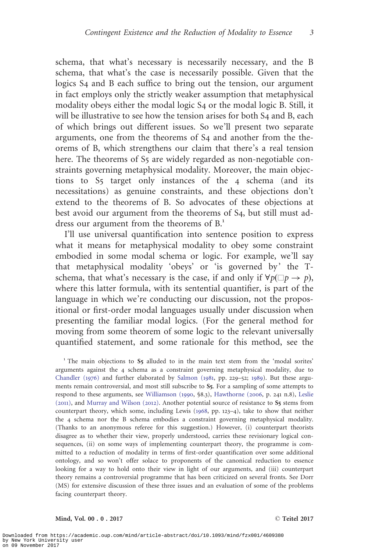schema, that what's necessary is necessarily necessary, and the B schema, that what's the case is necessarily possible. Given that the logics S4 and B each suffice to bring out the tension, our argument in fact employs only the strictly weaker assumption that metaphysical modality obeys either the modal logic S4 or the modal logic B. Still, it will be illustrative to see how the tension arises for both S4 and B, each of which brings out different issues. So we'll present two separate arguments, one from the theorems of S4 and another from the theorems of B, which strengthens our claim that there's a real tension here. The theorems of S<sub>5</sub> are widely regarded as non-negotiable constraints governing metaphysical modality. Moreover, the main objections to S5 target only instances of the 4 schema (and its necessitations) as genuine constraints, and these objections don't extend to the theorems of B. So advocates of these objections at best avoid our argument from the theorems of S4, but still must address our argument from the theorems of  $B<sup>1</sup>$ .

I'll use universal quantification into sentence position to express what it means for metaphysical modality to obey some constraint embodied in some modal schema or logic. For example, we'll say that metaphysical modality 'obeys' or 'is governed by ' the Tschema, that what's necessary is the case, if and only if  $\forall p(\Box p \rightarrow p)$ , where this latter formula, with its sentential quantifier, is part of the language in which we're conducting our discussion, not the propositional or first-order modal languages usually under discussion when presenting the familiar modal logics. (For the general method for moving from some theorem of some logic to the relevant universally quantified statement, and some rationale for this method, see the

<sup>1</sup> The main objections to S<sub>5</sub> alluded to in the main text stem from the 'modal sorites' arguments against the 4 schema as a constraint governing metaphysical modality, due to [Chandler \(](#page-28-0)1976) and further elaborated by [Salmon \(](#page-29-0)1981, pp. 229–52; [1989](#page-29-0)). But these arguments remain controversial, and most still subscribe to S5. For a sampling of some attempts to respond to these arguments, see [Williamson \(](#page-29-0)1990, §8.3), [Hawthorne \(](#page-28-0)2006, p. 241 n.8), [Leslie](#page-29-0)  $(2011)$  $(2011)$  $(2011)$ , and Murray and Wilson  $(2012)$ . Another potential source of resistance to S<sub>5</sub> stems from counterpart theory, which some, including Lewis ([1968](#page-29-0), pp. 123–4), take to show that neither the 4 schema nor the B schema embodies a constraint governing metaphysical modality. (Thanks to an anonymous referee for this suggestion.) However, (i) counterpart theorists disagree as to whether their view, properly understood, carries these revisionary logical consequences, (ii) on some ways of implementing counterpart theory, the programme is committed to a reduction of modality in terms of first-order quantification over some additional ontology, and so won't offer solace to proponents of the canonical reduction to essence looking for a way to hold onto their view in light of our arguments, and (iii) counterpart theory remains a controversial programme that has been criticized on several fronts. See Dorr (MS) for extensive discussion of these three issues and an evaluation of some of the problems facing counterpart theory.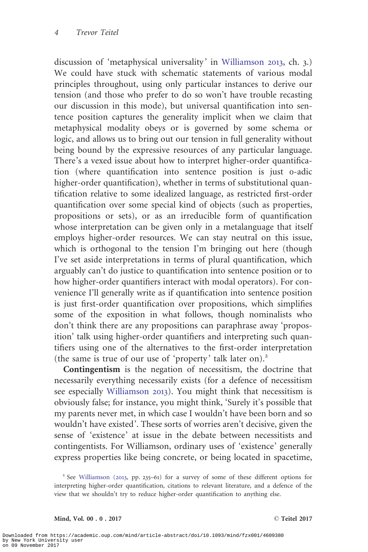discussion of 'metaphysical universality' in [Williamson](#page-29-0) 2013, ch. 3.) We could have stuck with schematic statements of various modal principles throughout, using only particular instances to derive our tension (and those who prefer to do so won't have trouble recasting our discussion in this mode), but universal quantification into sentence position captures the generality implicit when we claim that metaphysical modality obeys or is governed by some schema or logic, and allows us to bring out our tension in full generality without being bound by the expressive resources of any particular language. There's a vexed issue about how to interpret higher-order quantification (where quantification into sentence position is just 0-adic higher-order quantification), whether in terms of substitutional quantification relative to some idealized language, as restricted first-order quantification over some special kind of objects (such as properties, propositions or sets), or as an irreducible form of quantification whose interpretation can be given only in a metalanguage that itself employs higher-order resources. We can stay neutral on this issue, which is orthogonal to the tension I'm bringing out here (though I've set aside interpretations in terms of plural quantification, which arguably can't do justice to quantification into sentence position or to how higher-order quantifiers interact with modal operators). For convenience I'll generally write as if quantification into sentence position is just first-order quantification over propositions, which simplifies some of the exposition in what follows, though nominalists who don't think there are any propositions can paraphrase away 'proposition' talk using higher-order quantifiers and interpreting such quantifiers using one of the alternatives to the first-order interpretation (the same is true of our use of 'property' talk later on).<sup>2</sup>

Contingentism is the negation of necessitism, the doctrine that necessarily everything necessarily exists (for a defence of necessitism see especially [Williamson](#page-29-0) 2013). You might think that necessitism is obviously false; for instance, you might think, 'Surely it's possible that my parents never met, in which case I wouldn't have been born and so wouldn't have existed'. These sorts of worries aren't decisive, given the sense of 'existence' at issue in the debate between necessitists and contingentists. For Williamson, ordinary uses of 'existence' generally express properties like being concrete, or being located in spacetime,

<sup>2</sup> See [Williamson \(](#page-29-0)2013, pp. 235–61) for a survey of some of these different options for interpreting higher-order quantification, citations to relevant literature, and a defence of the view that we shouldn't try to reduce higher-order quantification to anything else.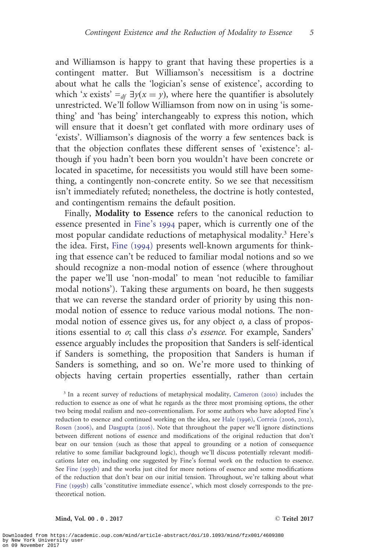and Williamson is happy to grant that having these properties is a contingent matter. But Williamson's necessitism is a doctrine about what he calls the 'logician's sense of existence', according to which 'x exists'  $=_{df} \exists y(x = y)$ , where here the quantifier is absolutely unrestricted. We'll follow Williamson from now on in using 'is something' and 'has being' interchangeably to express this notion, which will ensure that it doesn't get conflated with more ordinary uses of 'exists'. Williamson's diagnosis of the worry a few sentences back is that the objection conflates these different senses of 'existence': although if you hadn't been born you wouldn't have been concrete or located in spacetime, for necessitists you would still have been something, a contingently non-concrete entity. So we see that necessitism isn't immediately refuted; nonetheless, the doctrine is hotly contested, and contingentism remains the default position.

Finally, Modality to Essence refers to the canonical reduction to essence presented in [Fine's](#page-28-0) 1994 paper, which is currently one of the most popular candidate reductions of metaphysical modality.<sup>3</sup> Here's the idea. First, [Fine \(](#page-28-0)1994) presents well-known arguments for thinking that essence can't be reduced to familiar modal notions and so we should recognize a non-modal notion of essence (where throughout the paper we'll use 'non-modal' to mean 'not reducible to familiar modal notions'). Taking these arguments on board, he then suggests that we can reverse the standard order of priority by using this nonmodal notion of essence to reduce various modal notions. The nonmodal notion of essence gives us, for any object o, a class of propositions essential to o; call this class o's essence. For example, Sanders' essence arguably includes the proposition that Sanders is self-identical if Sanders is something, the proposition that Sanders is human if Sanders is something, and so on. We're more used to thinking of objects having certain properties essentially, rather than certain

<sup>3</sup> In a recent survey of reductions of metaphysical modality, [Cameron \(](#page-28-0)2010) includes the reduction to essence as one of what he regards as the three most promising options, the other two being modal realism and neo-conventionalism. For some authors who have adopted Fine's reduction to essence and continued working on the idea, see [Hale \(](#page-28-0)1996), [Correia \(](#page-28-0)2006, [2012](#page-28-0)), [Rosen \(](#page-29-0)2006), and [Dasgupta \(](#page-28-0)2016). Note that throughout the paper we'll ignore distinctions between different notions of essence and modifications of the original reduction that don't bear on our tension (such as those that appeal to grounding or a notion of consequence relative to some familiar background logic), though we'll discuss potentially relevant modifications later on, including one suggested by Fine's formal work on the reduction to essence. See [Fine \(](#page-28-0)1995b) and the works just cited for more notions of essence and some modifications of the reduction that don't bear on our initial tension. Throughout, we're talking about what [Fine \(](#page-28-0)1995b) calls 'constitutive immediate essence', which most closely corresponds to the pretheoretical notion.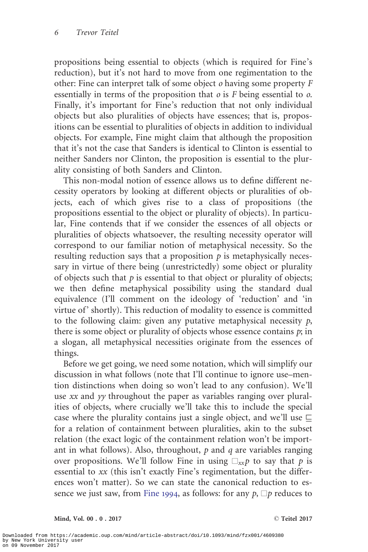propositions being essential to objects (which is required for Fine's reduction), but it's not hard to move from one regimentation to the other: Fine can interpret talk of some object  $\rho$  having some property  $F$ essentially in terms of the proposition that  $\sigma$  is F being essential to  $\sigma$ . Finally, it's important for Fine's reduction that not only individual objects but also pluralities of objects have essences; that is, propositions can be essential to pluralities of objects in addition to individual objects. For example, Fine might claim that although the proposition that it's not the case that Sanders is identical to Clinton is essential to neither Sanders nor Clinton, the proposition is essential to the plurality consisting of both Sanders and Clinton.

This non-modal notion of essence allows us to define different necessity operators by looking at different objects or pluralities of objects, each of which gives rise to a class of propositions (the propositions essential to the object or plurality of objects). In particular, Fine contends that if we consider the essences of all objects or pluralities of objects whatsoever, the resulting necessity operator will correspond to our familiar notion of metaphysical necessity. So the resulting reduction says that a proposition  $p$  is metaphysically necessary in virtue of there being (unrestrictedly) some object or plurality of objects such that  $p$  is essential to that object or plurality of objects; we then define metaphysical possibility using the standard dual equivalence (I'll comment on the ideology of 'reduction' and 'in virtue of' shortly). This reduction of modality to essence is committed to the following claim: given any putative metaphysical necessity  $p$ , there is some object or plurality of objects whose essence contains  $p$ ; in a slogan, all metaphysical necessities originate from the essences of things.

Before we get going, we need some notation, which will simplify our discussion in what follows (note that I'll continue to ignore use–mention distinctions when doing so won't lead to any confusion). We'll use xx and yy throughout the paper as variables ranging over pluralities of objects, where crucially we'll take this to include the special case where the plurality contains just a single object, and we'll use  $\sqsubseteq$ for a relation of containment between pluralities, akin to the subset relation (the exact logic of the containment relation won't be important in what follows). Also, throughout,  $p$  and  $q$  are variables ranging over propositions. We'll follow Fine in using  $\Box_{xx} p$  to say that p is essential to xx (this isn't exactly Fine's regimentation, but the differences won't matter). So we can state the canonical reduction to es-sence we just saw, from [Fine](#page-28-0) 1994, as follows: for any  $p$ ,  $\Box p$  reduces to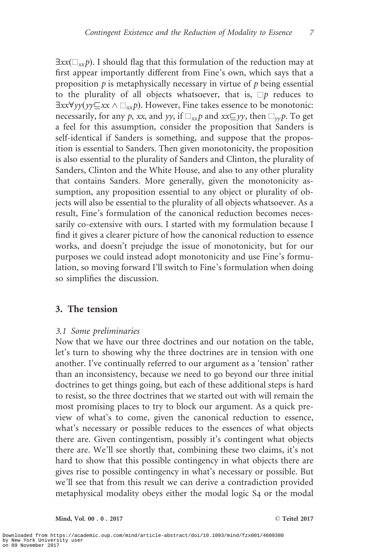$\exists xx(\Box_{xx}p)$ . I should flag that this formulation of the reduction may at first appear importantly different from Fine's own, which says that a proposition  $p$  is metaphysically necessary in virtue of  $p$  being essential to the plurality of all objects whatsoever, that is,  $\Box p$  reduces to  $\exists x x \forall y y (y \forall x x \land \Box_{xx} p)$ . However, Fine takes essence to be monotonic: necessarily, for any p, xx, and yy, if  $\Box_{xx}p$  and  $xx\Box yy$ , then  $\Box_{yy}p$ . To get a feel for this assumption, consider the proposition that Sanders is self-identical if Sanders is something, and suppose that the proposition is essential to Sanders. Then given monotonicity, the proposition is also essential to the plurality of Sanders and Clinton, the plurality of Sanders, Clinton and the White House, and also to any other plurality that contains Sanders. More generally, given the monotonicity assumption, any proposition essential to any object or plurality of objects will also be essential to the plurality of all objects whatsoever. As a result, Fine's formulation of the canonical reduction becomes necessarily co-extensive with ours. I started with my formulation because I find it gives a clearer picture of how the canonical reduction to essence works, and doesn't prejudge the issue of monotonicity, but for our purposes we could instead adopt monotonicity and use Fine's formulation, so moving forward I'll switch to Fine's formulation when doing so simplifies the discussion.

# 3. The tension

### 3.1 Some preliminaries

Now that we have our three doctrines and our notation on the table, let's turn to showing why the three doctrines are in tension with one another. I've continually referred to our argument as a 'tension' rather than an inconsistency, because we need to go beyond our three initial doctrines to get things going, but each of these additional steps is hard to resist, so the three doctrines that we started out with will remain the most promising places to try to block our argument. As a quick preview of what's to come, given the canonical reduction to essence, what's necessary or possible reduces to the essences of what objects there are. Given contingentism, possibly it's contingent what objects there are. We'll see shortly that, combining these two claims, it's not hard to show that this possible contingency in what objects there are gives rise to possible contingency in what's necessary or possible. But we'll see that from this result we can derive a contradiction provided metaphysical modality obeys either the modal logic S4 or the modal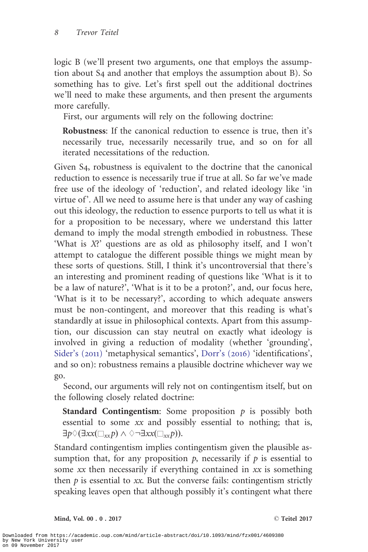logic B (we'll present two arguments, one that employs the assumption about S4 and another that employs the assumption about B). So something has to give. Let's first spell out the additional doctrines we'll need to make these arguments, and then present the arguments more carefully.

First, our arguments will rely on the following doctrine:

Robustness: If the canonical reduction to essence is true, then it's necessarily true, necessarily necessarily true, and so on for all iterated necessitations of the reduction.

Given S4, robustness is equivalent to the doctrine that the canonical reduction to essence is necessarily true if true at all. So far we've made free use of the ideology of 'reduction', and related ideology like 'in virtue of'. All we need to assume here is that under any way of cashing out this ideology, the reduction to essence purports to tell us what it is for a proposition to be necessary, where we understand this latter demand to imply the modal strength embodied in robustness. These 'What is X?' questions are as old as philosophy itself, and I won't attempt to catalogue the different possible things we might mean by these sorts of questions. Still, I think it's uncontroversial that there's an interesting and prominent reading of questions like 'What is it to be a law of nature?', 'What is it to be a proton?', and, our focus here, 'What is it to be necessary?', according to which adequate answers must be non-contingent, and moreover that this reading is what's standardly at issue in philosophical contexts. Apart from this assumption, our discussion can stay neutral on exactly what ideology is involved in giving a reduction of modality (whether 'grounding', [Sider's \(](#page-29-0)2011) 'metaphysical semantics', [Dorr's \(](#page-28-0)2016) 'identifications', and so on): robustness remains a plausible doctrine whichever way we go.

Second, our arguments will rely not on contingentism itself, but on the following closely related doctrine:

**Standard Contingentism:** Some proposition  $p$  is possibly both essential to some xx and possibly essential to nothing; that is,  $\exists p \Diamond (\exists xx(\Box_{xx}p) \land \Diamond \neg \exists xx(\Box_{xx}p)).$ 

Standard contingentism implies contingentism given the plausible assumption that, for any proposition  $p$ , necessarily if  $p$  is essential to some xx then necessarily if everything contained in xx is something then  $p$  is essential to xx. But the converse fails: contingentism strictly speaking leaves open that although possibly it's contingent what there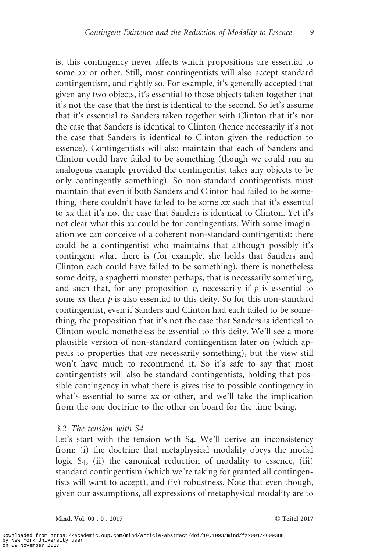is, this contingency never affects which propositions are essential to some xx or other. Still, most contingentists will also accept standard contingentism, and rightly so. For example, it's generally accepted that given any two objects, it's essential to those objects taken together that it's not the case that the first is identical to the second. So let's assume that it's essential to Sanders taken together with Clinton that it's not the case that Sanders is identical to Clinton (hence necessarily it's not the case that Sanders is identical to Clinton given the reduction to essence). Contingentists will also maintain that each of Sanders and Clinton could have failed to be something (though we could run an analogous example provided the contingentist takes any objects to be only contingently something). So non-standard contingentists must maintain that even if both Sanders and Clinton had failed to be something, there couldn't have failed to be some xx such that it's essential to xx that it's not the case that Sanders is identical to Clinton. Yet it's not clear what this xx could be for contingentists. With some imagination we can conceive of a coherent non-standard contingentist: there could be a contingentist who maintains that although possibly it's contingent what there is (for example, she holds that Sanders and Clinton each could have failed to be something), there is nonetheless some deity, a spaghetti monster perhaps, that is necessarily something, and such that, for any proposition  $p$ , necessarily if  $p$  is essential to some  $xx$  then  $p$  is also essential to this deity. So for this non-standard contingentist, even if Sanders and Clinton had each failed to be something, the proposition that it's not the case that Sanders is identical to Clinton would nonetheless be essential to this deity. We'll see a more plausible version of non-standard contingentism later on (which appeals to properties that are necessarily something), but the view still won't have much to recommend it. So it's safe to say that most contingentists will also be standard contingentists, holding that possible contingency in what there is gives rise to possible contingency in what's essential to some xx or other, and we'll take the implication from the one doctrine to the other on board for the time being.

#### 3.2 The tension with S4

Let's start with the tension with S4. We'll derive an inconsistency from: (i) the doctrine that metaphysical modality obeys the modal logic S<sub>4</sub>, (ii) the canonical reduction of modality to essence, (iii) standard contingentism (which we're taking for granted all contingentists will want to accept), and (iv) robustness. Note that even though, given our assumptions, all expressions of metaphysical modality are to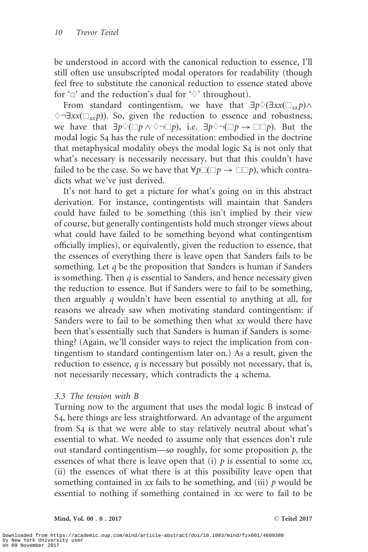be understood in accord with the canonical reduction to essence, I'll still often use unsubscripted modal operators for readability (though feel free to substitute the canonical reduction to essence stated above for ' $\Box$ ' and the reduction's dual for ' $\diamond$ ' throughout).

From standard contingentism, we have that  $\exists p \Diamond (\exists xx(\Box_{xx}p) \land$  $\Diamond \exists xx(\Box_{xx}p)$ ). So, given the reduction to essence and robustness, we have that  $\exists p \Diamond (\Box p \land \Diamond \neg \Box p)$ , i.e.  $\exists p \Diamond \neg (\Box p \to \Box \Box p)$ . But the modal logic S4 has the rule of necessitation: embodied in the doctrine that metaphysical modality obeys the modal logic S4 is not only that what's necessary is necessarily necessary, but that this couldn't have failed to be the case. So we have that  $\forall p \Box (\Box p \rightarrow \Box \Box p)$ , which contradicts what we've just derived.

It's not hard to get a picture for what's going on in this abstract derivation. For instance, contingentists will maintain that Sanders could have failed to be something (this isn't implied by their view of course, but generally contingentists hold much stronger views about what could have failed to be something beyond what contingentism officially implies), or equivalently, given the reduction to essence, that the essences of everything there is leave open that Sanders fails to be something. Let  $q$  be the proposition that Sanders is human if Sanders is something. Then  $q$  is essential to Sanders, and hence necessary given the reduction to essence. But if Sanders were to fail to be something, then arguably q wouldn't have been essential to anything at all, for reasons we already saw when motivating standard contingentism: if Sanders were to fail to be something then what xx would there have been that's essentially such that Sanders is human if Sanders is something? (Again, we'll consider ways to reject the implication from contingentism to standard contingentism later on.) As a result, given the reduction to essence,  $q$  is necessary but possibly not necessary, that is, not necessarily necessary, which contradicts the 4 schema.

### 3.3 The tension with B

Turning now to the argument that uses the modal logic B instead of S4, here things are less straightforward. An advantage of the argument from S4 is that we were able to stay relatively neutral about what's essential to what. We needed to assume only that essences don't rule out standard contingentism—so roughly, for some proposition  $p$ , the essences of what there is leave open that (i)  $p$  is essential to some xx, (ii) the essences of what there is at this possibility leave open that something contained in  $xx$  fails to be something, and (iii)  $p$  would be essential to nothing if something contained in xx were to fail to be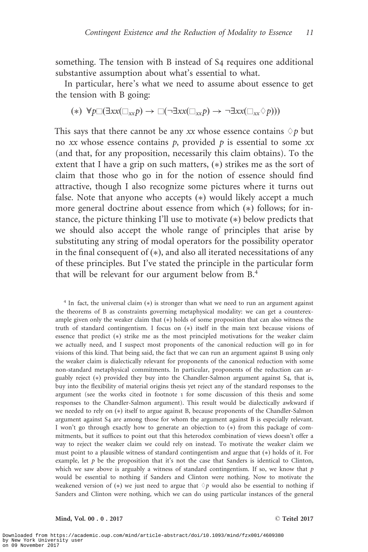something. The tension with B instead of S4 requires one additional substantive assumption about what's essential to what.

In particular, here's what we need to assume about essence to get the tension with B going:

$$
(*) \ \forall p \Box (\exists x x (\Box_{xx} p) \rightarrow \Box (\neg \exists x x (\Box_{xx} p) \rightarrow \neg \exists x x (\Box_{xx} \Diamond p)))
$$

This says that there cannot be any xx whose essence contains  $\Diamond p$  but no xx whose essence contains  $p$ , provided  $p$  is essential to some xx (and that, for any proposition, necessarily this claim obtains). To the extent that I have a grip on such matters, (\*) strikes me as the sort of claim that those who go in for the notion of essence should find attractive, though I also recognize some pictures where it turns out false. Note that anyone who accepts  $(*)$  would likely accept a much more general doctrine about essence from which (\*) follows; for instance, the picture thinking I'll use to motivate (\*) below predicts that we should also accept the whole range of principles that arise by substituting any string of modal operators for the possibility operator in the final consequent of  $(*)$ , and also all iterated necessitations of any of these principles. But I've stated the principle in the particular form that will be relevant for our argument below from B.<sup>4</sup>

 $4$  In fact, the universal claim  $(*)$  is stronger than what we need to run an argument against the theorems of B as constraints governing metaphysical modality: we can get a counterexample given only the weaker claim that (\*) holds of some proposition that can also witness the truth of standard contingentism. I focus on  $(*)$  itself in the main text because visions of essence that predict (\*) strike me as the most principled motivations for the weaker claim we actually need, and I suspect most proponents of the canonical reduction will go in for visions of this kind. That being said, the fact that we can run an argument against B using only the weaker claim is dialectically relevant for proponents of the canonical reduction with some non-standard metaphysical commitments. In particular, proponents of the reduction can arguably reject (\*) provided they buy into the Chandler-Salmon argument against S4, that is, buy into the flexibility of material origins thesis yet reject any of the standard responses to the argument (see the works cited in footnote 1 for some discussion of this thesis and some responses to the Chandler-Salmon argument). This result would be dialectically awkward if we needed to rely on (\*) itself to argue against B, because proponents of the Chandler-Salmon argument against S4 are among those for whom the argument against B is especially relevant. I won't go through exactly how to generate an objection to  $(*)$  from this package of commitments, but it suffices to point out that this heterodox combination of views doesn't offer a way to reject the weaker claim we could rely on instead. To motivate the weaker claim we must point to a plausible witness of standard contingentism and argue that (\*) holds of it. For example, let  $p$  be the proposition that it's not the case that Sanders is identical to Clinton, which we saw above is arguably a witness of standard contingentism. If so, we know that  $p$ would be essential to nothing if Sanders and Clinton were nothing. Now to motivate the weakened version of  $(*)$  we just need to argue that  $\Diamond p$  would also be essential to nothing if Sanders and Clinton were nothing, which we can do using particular instances of the general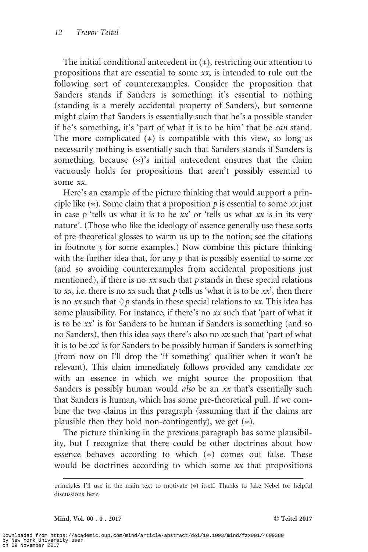The initial conditional antecedent in  $(*)$ , restricting our attention to propositions that are essential to some xx, is intended to rule out the following sort of counterexamples. Consider the proposition that Sanders stands if Sanders is something: it's essential to nothing (standing is a merely accidental property of Sanders), but someone might claim that Sanders is essentially such that he's a possible stander if he's something, it's 'part of what it is to be him' that he can stand. The more complicated  $(*)$  is compatible with this view, so long as necessarily nothing is essentially such that Sanders stands if Sanders is something, because (\*)'s initial antecedent ensures that the claim vacuously holds for propositions that aren't possibly essential to some xx.

Here's an example of the picture thinking that would support a principle like  $(*)$ . Some claim that a proposition  $p$  is essential to some xx just in case  $p$  'tells us what it is to be  $xx$ ' or 'tells us what  $xx$  is in its very nature'. (Those who like the ideology of essence generally use these sorts of pre-theoretical glosses to warm us up to the notion; see the citations in footnote 3 for some examples.) Now combine this picture thinking with the further idea that, for any  $p$  that is possibly essential to some  $xx$ (and so avoiding counterexamples from accidental propositions just mentioned), if there is no  $xx$  such that  $p$  stands in these special relations to xx, i.e. there is no xx such that  $p$  tells us 'what it is to be  $xx$ ', then there is no xx such that  $\Diamond p$  stands in these special relations to xx. This idea has some plausibility. For instance, if there's no xx such that 'part of what it is to be xx' is for Sanders to be human if Sanders is something (and so no Sanders), then this idea says there's also no xx such that 'part of what it is to be xx' is for Sanders to be possibly human if Sanders is something (from now on I'll drop the 'if something' qualifier when it won't be relevant). This claim immediately follows provided any candidate xx with an essence in which we might source the proposition that Sanders is possibly human would *also* be an xx that's essentially such that Sanders is human, which has some pre-theoretical pull. If we combine the two claims in this paragraph (assuming that if the claims are plausible then they hold non-contingently), we get  $(*)$ .

The picture thinking in the previous paragraph has some plausibility, but I recognize that there could be other doctrines about how essence behaves according to which (\*) comes out false. These would be doctrines according to which some xx that propositions

principles I'll use in the main text to motivate (\*) itself. Thanks to Jake Nebel for helpful discussions here.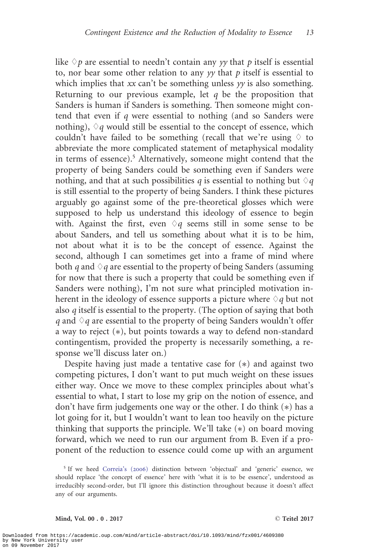like  $\Diamond p$  are essential to needn't contain any yy that p itself is essential to, nor bear some other relation to any  $yy$  that  $p$  itself is essential to which implies that  $xx$  can't be something unless  $yy$  is also something. Returning to our previous example, let  $q$  be the proposition that Sanders is human if Sanders is something. Then someone might contend that even if q were essential to nothing (and so Sanders were nothing),  $\Diamond q$  would still be essential to the concept of essence, which couldn't have failed to be something (recall that we're using  $\Diamond$  to abbreviate the more complicated statement of metaphysical modality in terms of essence).<sup>5</sup> Alternatively, someone might contend that the property of being Sanders could be something even if Sanders were nothing, and that at such possibilities q is essential to nothing but  $\Diamond q$ is still essential to the property of being Sanders. I think these pictures arguably go against some of the pre-theoretical glosses which were supposed to help us understand this ideology of essence to begin with. Against the first, even  $\Diamond q$  seems still in some sense to be about Sanders, and tell us something about what it is to be him, not about what it is to be the concept of essence. Against the second, although I can sometimes get into a frame of mind where both q and  $\Diamond q$  are essential to the property of being Sanders (assuming for now that there is such a property that could be something even if Sanders were nothing), I'm not sure what principled motivation inherent in the ideology of essence supports a picture where  $\Diamond q$  but not also q itself is essential to the property. (The option of saying that both q and  $\Diamond q$  are essential to the property of being Sanders wouldn't offer a way to reject (\*), but points towards a way to defend non-standard contingentism, provided the property is necessarily something, a response we'll discuss later on.)

Despite having just made a tentative case for  $(*)$  and against two competing pictures, I don't want to put much weight on these issues either way. Once we move to these complex principles about what's essential to what, I start to lose my grip on the notion of essence, and don't have firm judgements one way or the other. I do think (\*) has a lot going for it, but I wouldn't want to lean too heavily on the picture thinking that supports the principle. We'll take (\*) on board moving forward, which we need to run our argument from B. Even if a proponent of the reduction to essence could come up with an argument

<sup>5</sup> If we heed [Correia's \(](#page-28-0)2006) distinction between 'objectual' and 'generic' essence, we should replace 'the concept of essence' here with 'what it is to be essence', understood as irreducibly second-order, but I'll ignore this distinction throughout because it doesn't affect any of our arguments.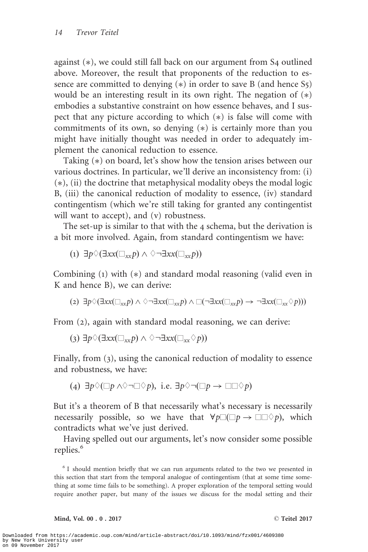against (\*), we could still fall back on our argument from S4 outlined above. Moreover, the result that proponents of the reduction to essence are committed to denying (\*) in order to save B (and hence S5) would be an interesting result in its own right. The negation of  $(*)$ embodies a substantive constraint on how essence behaves, and I suspect that any picture according to which  $(*)$  is false will come with commitments of its own, so denying  $(*)$  is certainly more than you might have initially thought was needed in order to adequately implement the canonical reduction to essence.

Taking (\*) on board, let's show how the tension arises between our various doctrines. In particular, we'll derive an inconsistency from: (i)  $(*)$ , (ii) the doctrine that metaphysical modality obeys the modal logic B, (iii) the canonical reduction of modality to essence, (iv) standard contingentism (which we're still taking for granted any contingentist will want to accept), and (v) robustness.

The set-up is similar to that with the 4 schema, but the derivation is a bit more involved. Again, from standard contingentism we have:

$$
(1) \ \exists p \Diamond (\exists xx(\Box_{xx} p) \land \Diamond \neg \exists xx(\Box_{xx} p))
$$

Combining (1) with (\*) and standard modal reasoning (valid even in K and hence B), we can derive:

$$
(2) \exists p \Diamond (\exists x x (\Box_{xx} p) \land \Diamond \neg \exists x x (\Box_{xx} p) \land \Box (\neg \exists x x (\Box_{xx} p) \rightarrow \neg \exists x x (\Box_{xx} \Diamond p)))
$$

From (2), again with standard modal reasoning, we can derive:

$$
(3) \exists p \Diamond (\exists xx(\Box_{xx} p) \land \Diamond \neg \exists xx(\Box_{xx} \Diamond p))
$$

Finally, from (3), using the canonical reduction of modality to essence and robustness, we have:

(4) 
$$
\exists p \Diamond (\Box p \land \Diamond \neg \Box \Diamond p)
$$
, i.e.  $\exists p \Diamond \neg (\Box p \rightarrow \Box \Box \Diamond p)$ 

But it's a theorem of B that necessarily what's necessary is necessarily necessarily possible, so we have that  $\forall p \Box (\Box p \rightarrow \Box \Box \Diamond p)$ , which contradicts what we've just derived.

Having spelled out our arguments, let's now consider some possible replies.<sup>6</sup>

<sup>6</sup> I should mention briefly that we can run arguments related to the two we presented in this section that start from the temporal analogue of contingentism (that at some time something at some time fails to be something). A proper exploration of the temporal setting would require another paper, but many of the issues we discuss for the modal setting and their

Mind, Vol. 00 . 0 . 2017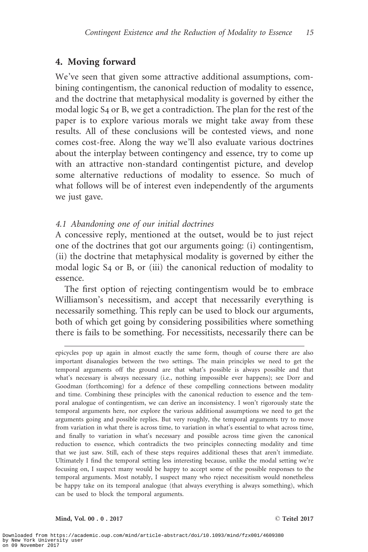# 4. Moving forward

We've seen that given some attractive additional assumptions, combining contingentism, the canonical reduction of modality to essence, and the doctrine that metaphysical modality is governed by either the modal logic S4 or B, we get a contradiction. The plan for the rest of the paper is to explore various morals we might take away from these results. All of these conclusions will be contested views, and none comes cost-free. Along the way we'll also evaluate various doctrines about the interplay between contingency and essence, try to come up with an attractive non-standard contingentist picture, and develop some alternative reductions of modality to essence. So much of what follows will be of interest even independently of the arguments we just gave.

## 4.1 Abandoning one of our initial doctrines

A concessive reply, mentioned at the outset, would be to just reject one of the doctrines that got our arguments going: (i) contingentism, (ii) the doctrine that metaphysical modality is governed by either the modal logic S4 or B, or (iii) the canonical reduction of modality to essence.

The first option of rejecting contingentism would be to embrace Williamson's necessitism, and accept that necessarily everything is necessarily something. This reply can be used to block our arguments, both of which get going by considering possibilities where something there is fails to be something. For necessitists, necessarily there can be

epicycles pop up again in almost exactly the same form, though of course there are also important disanalogies between the two settings. The main principles we need to get the temporal arguments off the ground are that what's possible is always possible and that what's necessary is always necessary (i.e., nothing impossible ever happens); see Dorr and Goodman (forthcoming) for a defence of these compelling connections between modality and time. Combining these principles with the canonical reduction to essence and the temporal analogue of contingentism, we can derive an inconsistency. I won't rigorously state the temporal arguments here, nor explore the various additional assumptions we need to get the arguments going and possible replies. But very roughly, the temporal arguments try to move from variation in what there is across time, to variation in what's essential to what across time, and finally to variation in what's necessary and possible across time given the canonical reduction to essence, which contradicts the two principles connecting modality and time that we just saw. Still, each of these steps requires additional theses that aren't immediate. Ultimately I find the temporal setting less interesting because, unlike the modal setting we're focusing on, I suspect many would be happy to accept some of the possible responses to the temporal arguments. Most notably, I suspect many who reject necessitism would nonetheless be happy take on its temporal analogue (that always everything is always something), which can be used to block the temporal arguments.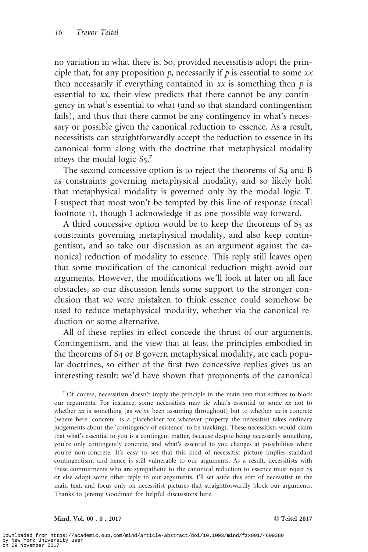no variation in what there is. So, provided necessitists adopt the principle that, for any proposition  $p$ , necessarily if  $p$  is essential to some  $xx$ then necessarily if everything contained in  $xx$  is something then  $p$  is essential to xx, their view predicts that there cannot be any contingency in what's essential to what (and so that standard contingentism fails), and thus that there cannot be any contingency in what's necessary or possible given the canonical reduction to essence. As a result, necessitists can straightforwardly accept the reduction to essence in its canonical form along with the doctrine that metaphysical modality obeys the modal logic  $S_5$ .<sup>7</sup>

The second concessive option is to reject the theorems of S4 and B as constraints governing metaphysical modality, and so likely hold that metaphysical modality is governed only by the modal logic T. I suspect that most won't be tempted by this line of response (recall footnote 1), though I acknowledge it as one possible way forward.

A third concessive option would be to keep the theorems of  $S<sub>5</sub>$  as constraints governing metaphysical modality, and also keep contingentism, and so take our discussion as an argument against the canonical reduction of modality to essence. This reply still leaves open that some modification of the canonical reduction might avoid our arguments. However, the modifications we'll look at later on all face obstacles, so our discussion lends some support to the stronger conclusion that we were mistaken to think essence could somehow be used to reduce metaphysical modality, whether via the canonical reduction or some alternative.

All of these replies in effect concede the thrust of our arguments. Contingentism, and the view that at least the principles embodied in the theorems of S4 or B govern metaphysical modality, are each popular doctrines, so either of the first two concessive replies gives us an interesting result: we'd have shown that proponents of the canonical

 $7$  Of course, necessitism doesn't imply the principle in the main text that suffices to block our arguments. For instance, some necessitists may tie what's essential to some  $xx$  not to whether  $xx$  is something (as we've been assuming throughout) but to whether  $xx$  is concrete (where here 'concrete' is a placeholder for whatever property the necessitist takes ordinary judgements about the 'contingency of existence' to be tracking). These necessitists would claim that what's essential to you is a contingent matter, because despite being necessarily something, you're only contingently concrete, and what's essential to you changes at possibilities where you're non-concrete. It's easy to see that this kind of necessitist picture implies standard contingentism, and hence is still vulnerable to our arguments. As a result, necessitists with these commitments who are sympathetic to the canonical reduction to essence must reject S5 or else adopt some other reply to our arguments. I'll set aside this sort of necessitist in the main text, and focus only on necessitist pictures that straightforwardly block our arguments. Thanks to Jeremy Goodman for helpful discussions here.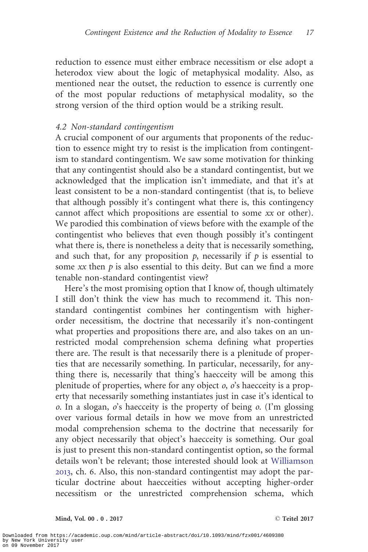reduction to essence must either embrace necessitism or else adopt a heterodox view about the logic of metaphysical modality. Also, as mentioned near the outset, the reduction to essence is currently one of the most popular reductions of metaphysical modality, so the strong version of the third option would be a striking result.

#### 4.2 Non-standard contingentism

A crucial component of our arguments that proponents of the reduction to essence might try to resist is the implication from contingentism to standard contingentism. We saw some motivation for thinking that any contingentist should also be a standard contingentist, but we acknowledged that the implication isn't immediate, and that it's at least consistent to be a non-standard contingentist (that is, to believe that although possibly it's contingent what there is, this contingency cannot affect which propositions are essential to some xx or other). We parodied this combination of views before with the example of the contingentist who believes that even though possibly it's contingent what there is, there is nonetheless a deity that is necessarily something, and such that, for any proposition  $p$ , necessarily if  $p$  is essential to some  $xx$  then  $p$  is also essential to this deity. But can we find a more tenable non-standard contingentist view?

Here's the most promising option that I know of, though ultimately I still don't think the view has much to recommend it. This nonstandard contingentist combines her contingentism with higherorder necessitism, the doctrine that necessarily it's non-contingent what properties and propositions there are, and also takes on an unrestricted modal comprehension schema defining what properties there are. The result is that necessarily there is a plenitude of properties that are necessarily something. In particular, necessarily, for anything there is, necessarily that thing's haecceity will be among this plenitude of properties, where for any object  $\varrho$ ,  $\varrho'$ 's haecceity is a property that necessarily something instantiates just in case it's identical to  $o$ . In a slogan,  $o$ 's haecceity is the property of being  $o$ . (I'm glossing over various formal details in how we move from an unrestricted modal comprehension schema to the doctrine that necessarily for any object necessarily that object's haecceity is something. Our goal is just to present this non-standard contingentist option, so the formal details won't be relevant; those interested should look at [Williamson](#page-29-0) [2013](#page-29-0), ch. 6. Also, this non-standard contingentist may adopt the particular doctrine about haecceities without accepting higher-order necessitism or the unrestricted comprehension schema, which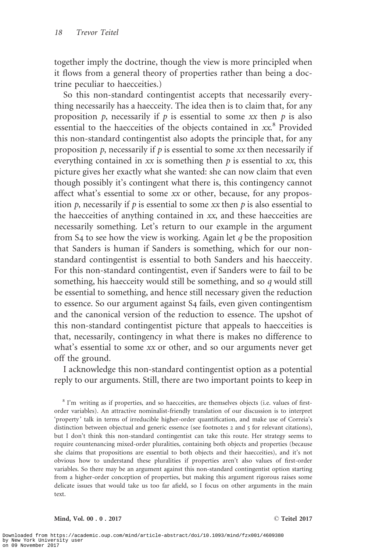together imply the doctrine, though the view is more principled when it flows from a general theory of properties rather than being a doctrine peculiar to haecceities.)

So this non-standard contingentist accepts that necessarily everything necessarily has a haecceity. The idea then is to claim that, for any proposition  $p$ , necessarily if  $p$  is essential to some xx then  $p$  is also essential to the haecceities of the objects contained in  $xx^8$  Provided this non-standard contingentist also adopts the principle that, for any proposition  $p$ , necessarily if  $p$  is essential to some xx then necessarily if everything contained in  $xx$  is something then  $p$  is essential to  $xx$ , this picture gives her exactly what she wanted: she can now claim that even though possibly it's contingent what there is, this contingency cannot affect what's essential to some xx or other, because, for any proposition p, necessarily if p is essential to some  $xx$  then p is also essential to the haecceities of anything contained in xx, and these haecceities are necessarily something. Let's return to our example in the argument from  $S_4$  to see how the view is working. Again let q be the proposition that Sanders is human if Sanders is something, which for our nonstandard contingentist is essential to both Sanders and his haecceity. For this non-standard contingentist, even if Sanders were to fail to be something, his haecceity would still be something, and so q would still be essential to something, and hence still necessary given the reduction to essence. So our argument against S4 fails, even given contingentism and the canonical version of the reduction to essence. The upshot of this non-standard contingentist picture that appeals to haecceities is that, necessarily, contingency in what there is makes no difference to what's essential to some  $xx$  or other, and so our arguments never get off the ground.

I acknowledge this non-standard contingentist option as a potential reply to our arguments. Still, there are two important points to keep in

<sup>8</sup> I'm writing as if properties, and so haecceities, are themselves objects (i.e. values of firstorder variables). An attractive nominalist-friendly translation of our discussion is to interpret 'property ' talk in terms of irreducible higher-order quantification, and make use of Correia's distinction between objectual and generic essence (see footnotes 2 and 5 for relevant citations), but I don't think this non-standard contingentist can take this route. Her strategy seems to require countenancing mixed-order pluralities, containing both objects and properties (because she claims that propositions are essential to both objects and their haecceities), and it's not obvious how to understand these pluralities if properties aren't also values of first-order variables. So there may be an argument against this non-standard contingentist option starting from a higher-order conception of properties, but making this argument rigorous raises some delicate issues that would take us too far afield, so I focus on other arguments in the main text.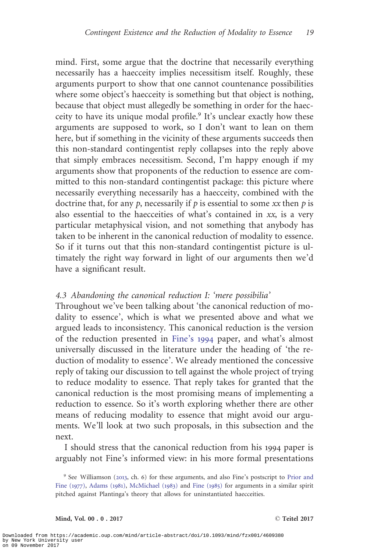mind. First, some argue that the doctrine that necessarily everything necessarily has a haecceity implies necessitism itself. Roughly, these arguments purport to show that one cannot countenance possibilities where some object's haecceity is something but that object is nothing, because that object must allegedly be something in order for the haecceity to have its unique modal profile.<sup>9</sup> It's unclear exactly how these arguments are supposed to work, so I don't want to lean on them here, but if something in the vicinity of these arguments succeeds then this non-standard contingentist reply collapses into the reply above that simply embraces necessitism. Second, I'm happy enough if my arguments show that proponents of the reduction to essence are committed to this non-standard contingentist package: this picture where necessarily everything necessarily has a haecceity, combined with the doctrine that, for any  $p$ , necessarily if  $p$  is essential to some xx then  $p$  is also essential to the haecceities of what's contained in xx, is a very particular metaphysical vision, and not something that anybody has taken to be inherent in the canonical reduction of modality to essence. So if it turns out that this non-standard contingentist picture is ultimately the right way forward in light of our arguments then we'd have a significant result.

#### 4.3 Abandoning the canonical reduction I: 'mere possibilia'

Throughout we've been talking about 'the canonical reduction of modality to essence', which is what we presented above and what we argued leads to inconsistency. This canonical reduction is the version of the reduction presented in [Fine's](#page-28-0) 1994 paper, and what's almost universally discussed in the literature under the heading of 'the reduction of modality to essence'. We already mentioned the concessive reply of taking our discussion to tell against the whole project of trying to reduce modality to essence. That reply takes for granted that the canonical reduction is the most promising means of implementing a reduction to essence. So it's worth exploring whether there are other means of reducing modality to essence that might avoid our arguments. We'll look at two such proposals, in this subsection and the next.

I should stress that the canonical reduction from his 1994 paper is arguably not Fine's informed view: in his more formal presentations

<sup>9</sup> See Williamson ([2013](#page-29-0), ch. 6) for these arguments, and also Fine's postscript to [Prior and](#page-29-0) [Fine \(](#page-29-0)1977), [Adams \(](#page-28-0)1981), [McMichael \(](#page-29-0)1983) and [Fine \(](#page-28-0)1985) for arguments in a similar spirit pitched against Plantinga's theory that allows for uninstantiated haecceities.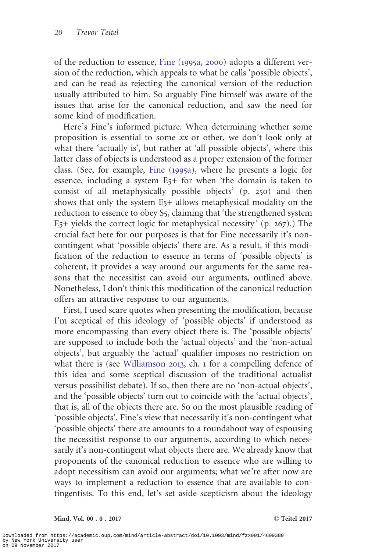of the reduction to essence, [Fine \(](#page-28-0)1995a, [2000](#page-28-0)) adopts a different version of the reduction, which appeals to what he calls 'possible objects', and can be read as rejecting the canonical version of the reduction usually attributed to him. So arguably Fine himself was aware of the issues that arise for the canonical reduction, and saw the need for some kind of modification.

Here's Fine's informed picture. When determining whether some proposition is essential to some xx or other, we don't look only at what there 'actually is', but rather at 'all possible objects', where this latter class of objects is understood as a proper extension of the former class. (See, for example, [Fine \(](#page-28-0)1995a), where he presents a logic for essence, including a system E5+ for when 'the domain is taken to consist of all metaphysically possible objects' (p. 250) and then shows that only the system E5+ allows metaphysical modality on the reduction to essence to obey S5, claiming that 'the strengthened system  $E<sub>5</sub>$ + yields the correct logic for metaphysical necessity' (p. 267).) The crucial fact here for our purposes is that for Fine necessarily it's noncontingent what 'possible objects' there are. As a result, if this modification of the reduction to essence in terms of 'possible objects' is coherent, it provides a way around our arguments for the same reasons that the necessitist can avoid our arguments, outlined above. Nonetheless, I don't think this modification of the canonical reduction offers an attractive response to our arguments.

First, I used scare quotes when presenting the modification, because I'm sceptical of this ideology of 'possible objects' if understood as more encompassing than every object there is. The 'possible objects' are supposed to include both the 'actual objects' and the 'non-actual objects', but arguably the 'actual' qualifier imposes no restriction on what there is (see [Williamson](#page-29-0) 2013, ch. 1 for a compelling defence of this idea and some sceptical discussion of the traditional actualist versus possibilist debate). If so, then there are no 'non-actual objects', and the 'possible objects' turn out to coincide with the 'actual objects', that is, all of the objects there are. So on the most plausible reading of 'possible objects', Fine's view that necessarily it's non-contingent what 'possible objects' there are amounts to a roundabout way of espousing the necessitist response to our arguments, according to which necessarily it's non-contingent what objects there are. We already know that proponents of the canonical reduction to essence who are willing to adopt necessitism can avoid our arguments; what we're after now are ways to implement a reduction to essence that are available to contingentists. To this end, let's set aside scepticism about the ideology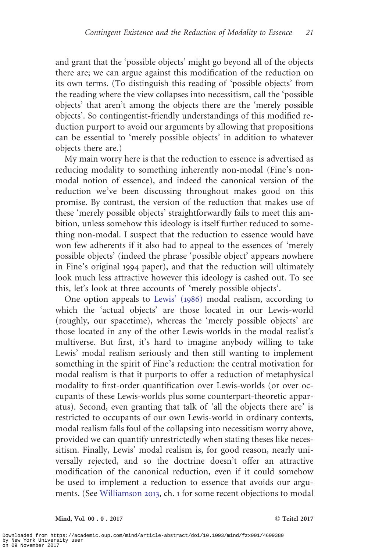and grant that the 'possible objects' might go beyond all of the objects there are; we can argue against this modification of the reduction on its own terms. (To distinguish this reading of 'possible objects' from the reading where the view collapses into necessitism, call the 'possible objects' that aren't among the objects there are the 'merely possible objects'. So contingentist-friendly understandings of this modified reduction purport to avoid our arguments by allowing that propositions can be essential to 'merely possible objects' in addition to whatever objects there are.)

My main worry here is that the reduction to essence is advertised as reducing modality to something inherently non-modal (Fine's nonmodal notion of essence), and indeed the canonical version of the reduction we've been discussing throughout makes good on this promise. By contrast, the version of the reduction that makes use of these 'merely possible objects' straightforwardly fails to meet this ambition, unless somehow this ideology is itself further reduced to something non-modal. I suspect that the reduction to essence would have won few adherents if it also had to appeal to the essences of 'merely possible objects' (indeed the phrase 'possible object' appears nowhere in Fine's original 1994 paper), and that the reduction will ultimately look much less attractive however this ideology is cashed out. To see this, let's look at three accounts of 'merely possible objects'.

One option appeals to [Lewis' \(](#page-29-0)1986) modal realism, according to which the 'actual objects' are those located in our Lewis-world (roughly, our spacetime), whereas the 'merely possible objects' are those located in any of the other Lewis-worlds in the modal realist's multiverse. But first, it's hard to imagine anybody willing to take Lewis' modal realism seriously and then still wanting to implement something in the spirit of Fine's reduction: the central motivation for modal realism is that it purports to offer a reduction of metaphysical modality to first-order quantification over Lewis-worlds (or over occupants of these Lewis-worlds plus some counterpart-theoretic apparatus). Second, even granting that talk of 'all the objects there are' is restricted to occupants of our own Lewis-world in ordinary contexts, modal realism falls foul of the collapsing into necessitism worry above, provided we can quantify unrestrictedly when stating theses like necessitism. Finally, Lewis' modal realism is, for good reason, nearly universally rejected, and so the doctrine doesn't offer an attractive modification of the canonical reduction, even if it could somehow be used to implement a reduction to essence that avoids our arguments. (See [Williamson](#page-29-0) 2013, ch. 1 for some recent objections to modal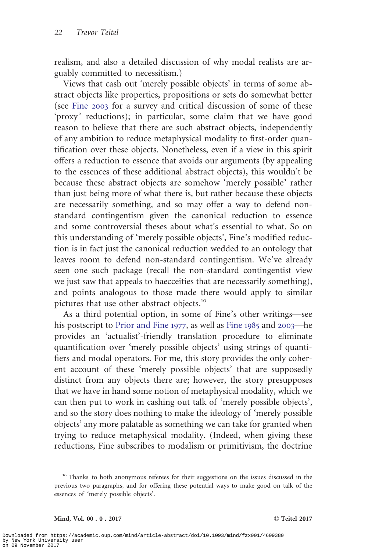realism, and also a detailed discussion of why modal realists are arguably committed to necessitism.)

Views that cash out 'merely possible objects' in terms of some abstract objects like properties, propositions or sets do somewhat better (see [Fine](#page-28-0) 2003 for a survey and critical discussion of some of these 'proxy ' reductions); in particular, some claim that we have good reason to believe that there are such abstract objects, independently of any ambition to reduce metaphysical modality to first-order quantification over these objects. Nonetheless, even if a view in this spirit offers a reduction to essence that avoids our arguments (by appealing to the essences of these additional abstract objects), this wouldn't be because these abstract objects are somehow 'merely possible' rather than just being more of what there is, but rather because these objects are necessarily something, and so may offer a way to defend nonstandard contingentism given the canonical reduction to essence and some controversial theses about what's essential to what. So on this understanding of 'merely possible objects', Fine's modified reduction is in fact just the canonical reduction wedded to an ontology that leaves room to defend non-standard contingentism. We've already seen one such package (recall the non-standard contingentist view we just saw that appeals to haecceities that are necessarily something), and points analogous to those made there would apply to similar pictures that use other abstract objects.<sup>10</sup>

As a third potential option, in some of Fine's other writings—see his postscript to [Prior and Fine](#page-29-0) 1977, as well as [Fine](#page-28-0) 1985 and [2003](#page-28-0)—he provides an 'actualist'-friendly translation procedure to eliminate quantification over 'merely possible objects' using strings of quantifiers and modal operators. For me, this story provides the only coherent account of these 'merely possible objects' that are supposedly distinct from any objects there are; however, the story presupposes that we have in hand some notion of metaphysical modality, which we can then put to work in cashing out talk of 'merely possible objects', and so the story does nothing to make the ideology of 'merely possible objects' any more palatable as something we can take for granted when trying to reduce metaphysical modality. (Indeed, when giving these reductions, Fine subscribes to modalism or primitivism, the doctrine

<sup>&</sup>lt;sup>10</sup> Thanks to both anonymous referees for their suggestions on the issues discussed in the previous two paragraphs, and for offering these potential ways to make good on talk of the essences of 'merely possible objects'.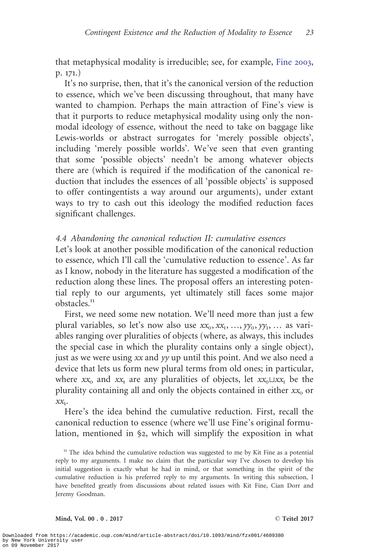that metaphysical modality is irreducible; see, for example, [Fine](#page-28-0) 2003, p. 171.)

It's no surprise, then, that it's the canonical version of the reduction to essence, which we've been discussing throughout, that many have wanted to champion. Perhaps the main attraction of Fine's view is that it purports to reduce metaphysical modality using only the nonmodal ideology of essence, without the need to take on baggage like Lewis-worlds or abstract surrogates for 'merely possible objects', including 'merely possible worlds'. We've seen that even granting that some 'possible objects' needn't be among whatever objects there are (which is required if the modification of the canonical reduction that includes the essences of all 'possible objects' is supposed to offer contingentists a way around our arguments), under extant ways to try to cash out this ideology the modified reduction faces significant challenges.

### 4.4 Abandoning the canonical reduction II: cumulative essences

Let's look at another possible modification of the canonical reduction to essence, which I'll call the 'cumulative reduction to essence'. As far as I know, nobody in the literature has suggested a modification of the reduction along these lines. The proposal offers an interesting potential reply to our arguments, yet ultimately still faces some major obstacles.<sup>11</sup>

First, we need some new notation. We'll need more than just a few plural variables, so let's now also use  $xx_0, xx_1, ..., yy_0, yy_1, ...$  as variables ranging over pluralities of objects (where, as always, this includes the special case in which the plurality contains only a single object), just as we were using xx and yy up until this point. And we also need a device that lets us form new plural terms from old ones; in particular, where  $xx_0$  and  $xx_1$  are any pluralities of objects, let  $xx_0\sqcup xx_1$  be the plurality containing all and only the objects contained in either  $xx_0$  or  $x_1$ .

Here's the idea behind the cumulative reduction. First, recall the canonical reduction to essence (where we'll use Fine's original formulation, mentioned in §2, which will simplify the exposition in what

 $11$  The idea behind the cumulative reduction was suggested to me by Kit Fine as a potential reply to my arguments. I make no claim that the particular way I've chosen to develop his initial suggestion is exactly what he had in mind, or that something in the spirit of the cumulative reduction is his preferred reply to my arguments. In writing this subsection, I have benefited greatly from discussions about related issues with Kit Fine, Cian Dorr and Jeremy Goodman.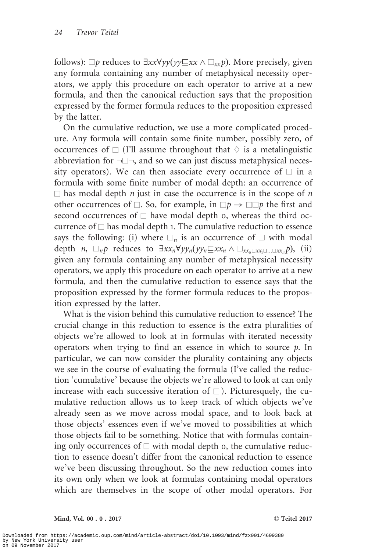follows):  $\Box p$  reduces to  $\exists xx\forall yy(y\Box xx \land \Box_{xx}p)$ . More precisely, given any formula containing any number of metaphysical necessity operators, we apply this procedure on each operator to arrive at a new formula, and then the canonical reduction says that the proposition expressed by the former formula reduces to the proposition expressed by the latter.

On the cumulative reduction, we use a more complicated procedure. Any formula will contain some finite number, possibly zero, of occurrences of  $\Box$  (I'll assume throughout that  $\Diamond$  is a metalinguistic abbreviation for  $\neg \Box \neg$ , and so we can just discuss metaphysical necessity operators). We can then associate every occurrence of  $\Box$  in a formula with some finite number of modal depth: an occurrence of  $\Box$  has modal depth *n* just in case the occurrence is in the scope of *n* other occurrences of  $\Box$ . So, for example, in  $\Box p \rightarrow \Box \Box p$  the first and second occurrences of  $\Box$  have modal depth 0, whereas the third occurrence of  $\square$  has modal depth 1. The cumulative reduction to essence says the following: (i) where  $\Box_n$  is an occurrence of  $\Box$  with modal depth  $n, \Box_n p$  reduces to  $\exists xx_n\forall yy_n(yy_n\subseteq xx_n \land \Box_{xx_n(1,x_n\cup [xx_n]}, 0),$  (ii) given any formula containing any number of metaphysical necessity operators, we apply this procedure on each operator to arrive at a new formula, and then the cumulative reduction to essence says that the proposition expressed by the former formula reduces to the proposition expressed by the latter.

What is the vision behind this cumulative reduction to essence? The crucial change in this reduction to essence is the extra pluralities of objects we're allowed to look at in formulas with iterated necessity operators when trying to find an essence in which to source  $p$ . In particular, we can now consider the plurality containing any objects we see in the course of evaluating the formula (I've called the reduction 'cumulative' because the objects we're allowed to look at can only increase with each successive iteration of  $\square$ ). Picturesquely, the cumulative reduction allows us to keep track of which objects we've already seen as we move across modal space, and to look back at those objects' essences even if we've moved to possibilities at which those objects fail to be something. Notice that with formulas containing only occurrences of  $\Box$  with modal depth 0, the cumulative reduction to essence doesn't differ from the canonical reduction to essence we've been discussing throughout. So the new reduction comes into its own only when we look at formulas containing modal operators which are themselves in the scope of other modal operators. For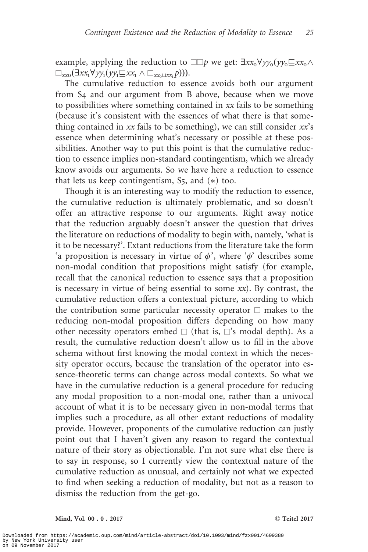example, applying the reduction to  $\square \Box p$  we get:  $\exists x x_0 \forall y y_0(y y_0 \sqsubseteq x x_0 \land y y_0 \sqsubseteq y y_0 \sqsubseteq y y_0)$  $\Box_{rrn}(\exists xx_1\forall yy_1(yy_1\Box xx_1 \wedge \Box_{xx_0\Box xx_1}p))).$ 

The cumulative reduction to essence avoids both our argument from S4 and our argument from B above, because when we move to possibilities where something contained in xx fails to be something (because it's consistent with the essences of what there is that something contained in  $xx$  fails to be something), we can still consider  $xx$ 's essence when determining what's necessary or possible at these possibilities. Another way to put this point is that the cumulative reduction to essence implies non-standard contingentism, which we already know avoids our arguments. So we have here a reduction to essence that lets us keep contingentism,  $S_5$ , and  $(*)$  too.

Though it is an interesting way to modify the reduction to essence, the cumulative reduction is ultimately problematic, and so doesn't offer an attractive response to our arguments. Right away notice that the reduction arguably doesn't answer the question that drives the literature on reductions of modality to begin with, namely, 'what is it to be necessary?'. Extant reductions from the literature take the form 'a proposition is necessary in virtue of  $\phi$ ', where ' $\phi$ ' describes some non-modal condition that propositions might satisfy (for example, recall that the canonical reduction to essence says that a proposition is necessary in virtue of being essential to some  $xx$ ). By contrast, the cumulative reduction offers a contextual picture, according to which the contribution some particular necessity operator  $\Box$  makes to the reducing non-modal proposition differs depending on how many other necessity operators embed  $\square$  (that is,  $\square$ 's modal depth). As a result, the cumulative reduction doesn't allow us to fill in the above schema without first knowing the modal context in which the necessity operator occurs, because the translation of the operator into essence-theoretic terms can change across modal contexts. So what we have in the cumulative reduction is a general procedure for reducing any modal proposition to a non-modal one, rather than a univocal account of what it is to be necessary given in non-modal terms that implies such a procedure, as all other extant reductions of modality provide. However, proponents of the cumulative reduction can justly point out that I haven't given any reason to regard the contextual nature of their story as objectionable. I'm not sure what else there is to say in response, so I currently view the contextual nature of the cumulative reduction as unusual, and certainly not what we expected to find when seeking a reduction of modality, but not as a reason to dismiss the reduction from the get-go.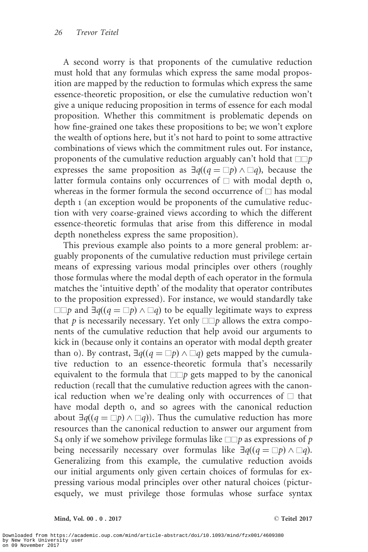A second worry is that proponents of the cumulative reduction must hold that any formulas which express the same modal proposition are mapped by the reduction to formulas which express the same essence-theoretic proposition, or else the cumulative reduction won't give a unique reducing proposition in terms of essence for each modal proposition. Whether this commitment is problematic depends on how fine-grained one takes these propositions to be; we won't explore the wealth of options here, but it's not hard to point to some attractive combinations of views which the commitment rules out. For instance, proponents of the cumulative reduction arguably can't hold that  $\square \square p$ expresses the same proposition as  $\exists q((q = \Box p) \land \Box q)$ , because the latter formula contains only occurrences of  $\Box$  with modal depth 0, whereas in the former formula the second occurrence of  $\Box$  has modal depth 1 (an exception would be proponents of the cumulative reduction with very coarse-grained views according to which the different essence-theoretic formulas that arise from this difference in modal depth nonetheless express the same proposition).

This previous example also points to a more general problem: arguably proponents of the cumulative reduction must privilege certain means of expressing various modal principles over others (roughly those formulas where the modal depth of each operator in the formula matches the 'intuitive depth' of the modality that operator contributes to the proposition expressed). For instance, we would standardly take  $\square$ p and  $\exists q((q = \square p) \land \square q)$  to be equally legitimate ways to express that  $p$  is necessarily necessary. Yet only  $\square \Box p$  allows the extra components of the cumulative reduction that help avoid our arguments to kick in (because only it contains an operator with modal depth greater than o). By contrast,  $\exists q((q = \Box p) \land \Box q)$  gets mapped by the cumulative reduction to an essence-theoretic formula that's necessarily equivalent to the formula that  $\Box$  gets mapped to by the canonical reduction (recall that the cumulative reduction agrees with the canonical reduction when we're dealing only with occurrences of  $\Box$  that have modal depth 0, and so agrees with the canonical reduction about  $\exists q((q = \Box p) \land \Box q)$ . Thus the cumulative reduction has more resources than the canonical reduction to answer our argument from S4 only if we somehow privilege formulas like  $\square \Box p$  as expressions of p being necessarily necessary over formulas like  $\exists q((q = \Box p) \land \Box q)$ . Generalizing from this example, the cumulative reduction avoids our initial arguments only given certain choices of formulas for expressing various modal principles over other natural choices (picturesquely, we must privilege those formulas whose surface syntax

Mind, Vol. 00 . 0 . 2017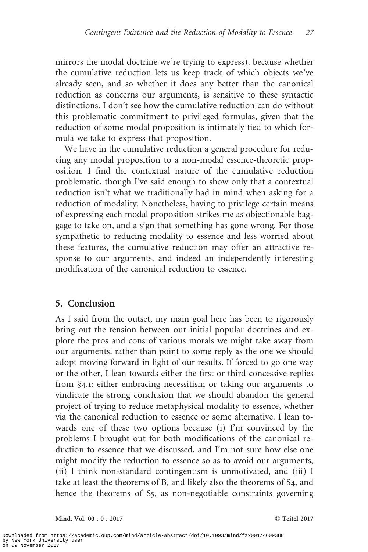mirrors the modal doctrine we're trying to express), because whether the cumulative reduction lets us keep track of which objects we've already seen, and so whether it does any better than the canonical reduction as concerns our arguments, is sensitive to these syntactic distinctions. I don't see how the cumulative reduction can do without this problematic commitment to privileged formulas, given that the reduction of some modal proposition is intimately tied to which formula we take to express that proposition.

We have in the cumulative reduction a general procedure for reducing any modal proposition to a non-modal essence-theoretic proposition. I find the contextual nature of the cumulative reduction problematic, though I've said enough to show only that a contextual reduction isn't what we traditionally had in mind when asking for a reduction of modality. Nonetheless, having to privilege certain means of expressing each modal proposition strikes me as objectionable baggage to take on, and a sign that something has gone wrong. For those sympathetic to reducing modality to essence and less worried about these features, the cumulative reduction may offer an attractive response to our arguments, and indeed an independently interesting modification of the canonical reduction to essence.

# 5. Conclusion

As I said from the outset, my main goal here has been to rigorously bring out the tension between our initial popular doctrines and explore the pros and cons of various morals we might take away from our arguments, rather than point to some reply as the one we should adopt moving forward in light of our results. If forced to go one way or the other, I lean towards either the first or third concessive replies from §4.1: either embracing necessitism or taking our arguments to vindicate the strong conclusion that we should abandon the general project of trying to reduce metaphysical modality to essence, whether via the canonical reduction to essence or some alternative. I lean towards one of these two options because (i) I'm convinced by the problems I brought out for both modifications of the canonical reduction to essence that we discussed, and I'm not sure how else one might modify the reduction to essence so as to avoid our arguments, (ii) I think non-standard contingentism is unmotivated, and (iii) I take at least the theorems of B, and likely also the theorems of S4, and hence the theorems of S<sub>5</sub>, as non-negotiable constraints governing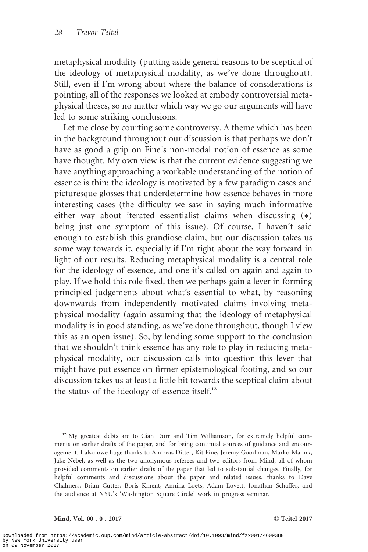metaphysical modality (putting aside general reasons to be sceptical of the ideology of metaphysical modality, as we've done throughout). Still, even if I'm wrong about where the balance of considerations is pointing, all of the responses we looked at embody controversial metaphysical theses, so no matter which way we go our arguments will have led to some striking conclusions.

Let me close by courting some controversy. A theme which has been in the background throughout our discussion is that perhaps we don't have as good a grip on Fine's non-modal notion of essence as some have thought. My own view is that the current evidence suggesting we have anything approaching a workable understanding of the notion of essence is thin: the ideology is motivated by a few paradigm cases and picturesque glosses that underdetermine how essence behaves in more interesting cases (the difficulty we saw in saying much informative either way about iterated essentialist claims when discussing (\*) being just one symptom of this issue). Of course, I haven't said enough to establish this grandiose claim, but our discussion takes us some way towards it, especially if I'm right about the way forward in light of our results. Reducing metaphysical modality is a central role for the ideology of essence, and one it's called on again and again to play. If we hold this role fixed, then we perhaps gain a lever in forming principled judgements about what's essential to what, by reasoning downwards from independently motivated claims involving metaphysical modality (again assuming that the ideology of metaphysical modality is in good standing, as we've done throughout, though I view this as an open issue). So, by lending some support to the conclusion that we shouldn't think essence has any role to play in reducing metaphysical modality, our discussion calls into question this lever that might have put essence on firmer epistemological footing, and so our discussion takes us at least a little bit towards the sceptical claim about the status of the ideology of essence itself. $^{12}$ 

 $12$  My greatest debts are to Cian Dorr and Tim Williamson, for extremely helpful comments on earlier drafts of the paper, and for being continual sources of guidance and encouragement. I also owe huge thanks to Andreas Ditter, Kit Fine, Jeremy Goodman, Marko Malink, Jake Nebel, as well as the two anonymous referees and two editors from Mind, all of whom provided comments on earlier drafts of the paper that led to substantial changes. Finally, for helpful comments and discussions about the paper and related issues, thanks to Dave Chalmers, Brian Cutter, Boris Kment, Annina Loets, Adam Lovett, Jonathan Schaffer, and the audience at NYU's 'Washington Square Circle' work in progress seminar.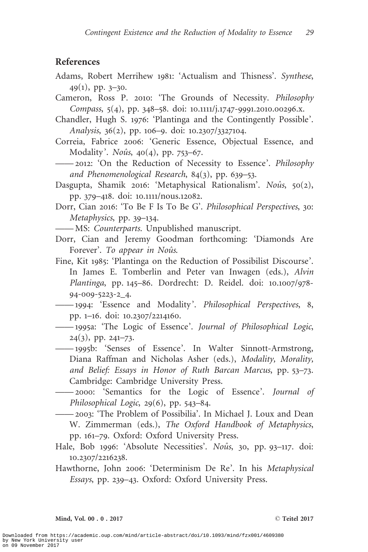## <span id="page-28-0"></span>References

- Adams, Robert Merrihew 1981: 'Actualism and Thisness'. Synthese,  $49(1)$ , pp.  $3-30$ .
- Cameron, Ross P. 2010: 'The Grounds of Necessity. Philosophy Compass, 5(4), pp. 348–58. doi: 10.1111/j.1747-9991.2010.00296.x.
- Chandler, Hugh S. 1976: 'Plantinga and the Contingently Possible'. Analysis, 36(2), pp. 106–9. doi: 10.2307/3327104.
- Correia, Fabrice 2006: 'Generic Essence, Objectual Essence, and Modality'. Noûs,  $40(4)$ , pp. 753–67.
- —— 2012: 'On the Reduction of Necessity to Essence'. Philosophy and Phenomenological Research, 84(3), pp. 639–53.
- Dasgupta, Shamik 2016: 'Metaphysical Rationalism'. Noûs, 50(2), pp. 379–418. doi: 10.1111/nous.12082.
- Dorr, Cian 2016: 'To Be F Is To Be G'. Philosophical Perspectives, 30: Metaphysics, pp. 39–134.
- -MS: Counterparts. Unpublished manuscript.
- Dorr, Cian and Jeremy Goodman forthcoming: 'Diamonds Are Forever'. To appear in Noûs.
- Fine, Kit 1985: 'Plantinga on the Reduction of Possibilist Discourse'. In James E. Tomberlin and Peter van Inwagen (eds.), Alvin Plantinga, pp. 145–86. Dordrecht: D. Reidel. doi: 10.1007/978- 94-009-5223-2\_4.
- —— 1994: 'Essence and Modality'. *Philosophical Perspectives*, 8, pp. 1–16. doi: 10.2307/2214160.
- —— 1995a: 'The Logic of Essence'. Journal of Philosophical Logic,  $24(3)$ , pp.  $241-73$ .
- —— 1995b: 'Senses of Essence'. In Walter Sinnott-Armstrong, Diana Raffman and Nicholas Asher (eds.), Modality, Morality, and Belief: Essays in Honor of Ruth Barcan Marcus, pp. 53–73. Cambridge: Cambridge University Press.
- —— 2000: 'Semantics for the Logic of Essence'. Journal of Philosophical Logic, 29(6), pp. 543–84.
- —— 2003: 'The Problem of Possibilia'. In Michael J. Loux and Dean W. Zimmerman (eds.), The Oxford Handbook of Metaphysics, pp. 161–79. Oxford: Oxford University Press.
- Hale, Bob 1996: 'Absolute Necessities'. Noûs, 30, pp. 93-117. doi: 10.2307/2216238.
- Hawthorne, John 2006: 'Determinism De Re'. In his Metaphysical Essays, pp. 239–43. Oxford: Oxford University Press.